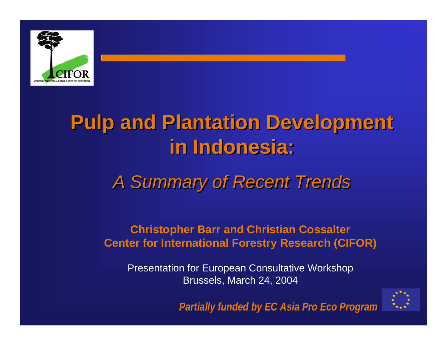

# **Pulp and Plantation Development Pulp and Plantation Development Pulp and Plantation Development in Indonesia: in Indonesia: in Indonesia:**

## *A Summary of Recent Trends A Summary of Recent Trends A Summary of Recent Trends*

#### **Christopher Barr and Christian Cossalter Center for International Forestry Research (CIFOR)**

Presentation for European Consultative Workshop Brussels, March 24, 2004



*Partially funded by EC Asia Pro Eco Program*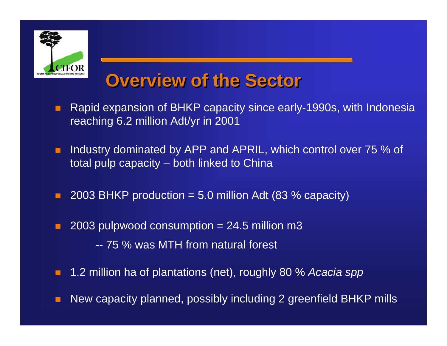

### **Overview of the Sector Overview of the Sector Overview of the Sector**

- п Rapid expansion of BHKP capacity since early-1990s, with Indonesia reaching 6.2 million Adt/yr in 2001
- п Industry dominated by APP and APRIL, which control over 75 % of total pulp capacity – both linked to China
- п 2003 BHKP production  $= 5.0$  million Adt (83 % capacity)
- п 2003 pulpwood consumption  $= 24.5$  million m3 -- 75 % was MTH from natural forest
- п 1.2 million ha of plantations (net), roughly 80 % *Acacia spp*
- П New capacity planned, possibly including 2 greenfield BHKP mills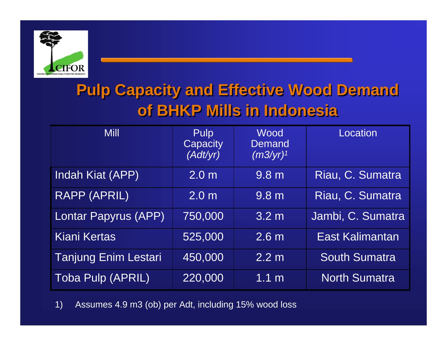

#### **Pulp Capacity and Effective Wood Demand Pulp Capacity and Effective Wood Demand of BHKP Mills in Indonesiaof BHKP Mills in Indonesia**

| <b>Mill</b>                 | <b>Pulp</b><br>Capacity<br>(Adt/yr) | Wood<br>Demand<br>$(m3/yr)^1$ | Location             |
|-----------------------------|-------------------------------------|-------------------------------|----------------------|
| Indah Kiat (APP)            | 2.0 <sub>m</sub>                    | 9.8 <sub>m</sub>              | Riau, C. Sumatra     |
| <b>RAPP (APRIL)</b>         | 2.0 <sub>m</sub>                    | 9.8 <sub>m</sub>              | Riau, C. Sumatra     |
| Lontar Papyrus (APP)        | 750,000                             | 3.2 <sub>m</sub>              | Jambi, C. Sumatra    |
| <b>Kiani Kertas</b>         | 525,000                             | 2.6 <sub>m</sub>              | East Kalimantan      |
| <b>Tanjung Enim Lestari</b> | 450,000                             | 2.2 m                         | <b>South Sumatra</b> |
| <b>Toba Pulp (APRIL)</b>    | 220,000                             | 1.1 <sub>m</sub>              | <b>North Sumatra</b> |

1) Assumes 4.9 m3 (ob) per Adt, including 15% wood loss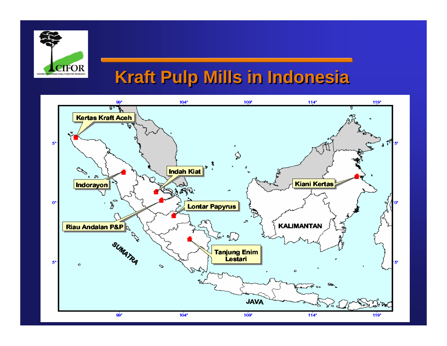

### **Kraft Pulp Mills in Indonesia Kraft Pulp Mills in Indonesia**

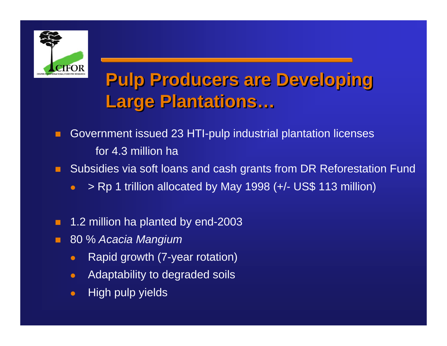

# **Pulp Producers are Developing Pulp Producers are Developing Pulp Producers are Developing Large Plantations… Large Plantations…**

- P. Government issued 23 HTI-pulp industrial plantation licenses for 4.3 million ha
- п Subsidies via soft loans and cash grants from DR Reforestation Fund
	- $\bullet$ > Rp 1 trillion allocated by May 1998 (+/- US\$ 113 million)
- п 1.2 million ha planted by end-2003
- P. 80 % *Acacia Mangium*
	- $\bullet$ Rapid growth (7-year rotation)
	- $\bullet$ Adaptability to degraded soils
	- $\bullet$ High pulp yields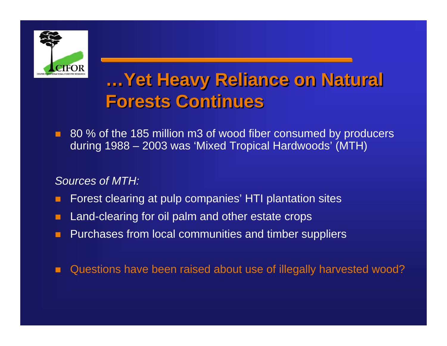

## **…Yet Heavy Reliance on Natural …Yet Heavy Reliance on Natural Yet Heavy Reliance on Natural Forests Continues Forests Continues Forests Continues**

п 80 % of the 185 million m3 of wood fiber consumed by producers during 1988 – 2003 was 'Mixed Tropical Hardwoods' (MTH)

#### *Sources of MTH:*

- P. Forest clearing at pulp companies' HTI plantation sites
- П Land-clearing for oil palm and other estate crops
- П Purchases from local communities and timber suppliers
- п Questions have been raised about use of illegally harvested wood?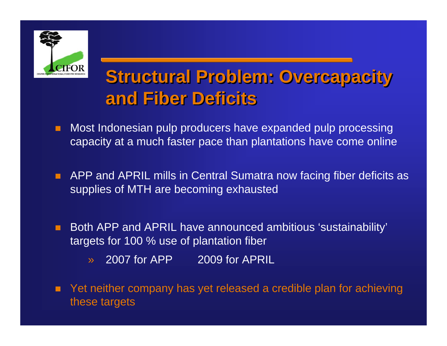

### **Structural Problem: Overcapacity and Fiber Deficitsand Fiber Deficits and Fiber Deficits**

- п Most Indonesian pulp producers have expanded pulp processing capacity at a much faster pace than plantations have come online
- п APP and APRIL mills in Central Sumatra now facing fiber deficits as supplies of MTH are becoming exhausted
- п Both APP and APRIL have announced ambitious 'sustainability' targets for 100 % use of plantation fiber
	- »2007 for APP 2009 for APRIL
- п Yet neither company has yet released a credible plan for achieving these targets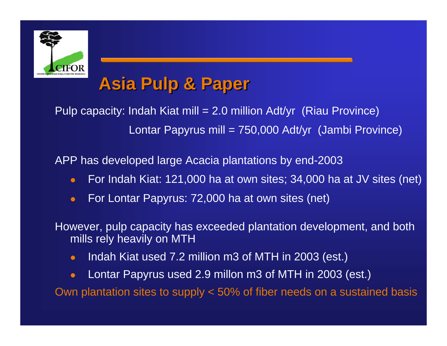

### **Asia Pulp & Paper Asia Pulp & Paper**

Pulp capacity: Indah Kiat mill = 2.0 million Adt/yr (Riau Province) Lontar Papyrus mill = 750,000 Adt/yr (Jambi Province)

APP has developed large Acacia plantations by end-2003

- $\bullet$ For Indah Kiat: 121,000 ha at own sites; 34,000 ha at JV sites (net)
- $\bullet$ For Lontar Papyrus: 72,000 ha at own sites (net)

However, pulp capacity has exceeded plantation development, and both mills rely heavily on MTH

- $\bullet$ Indah Kiat used 7.2 million m3 of MTH in 2003 (est.)
- $\bullet$ Lontar Papyrus used 2.9 millon m3 of MTH in 2003 (est.)

Own plantation sites to supply < 50% of fiber needs on a sustained basis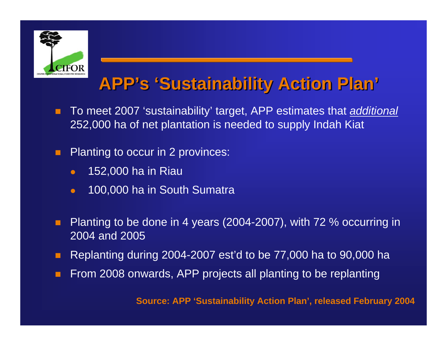

## **APP's 'Sustainability Action Plan' APP's 'Sustainability Action Plan'**

- п To meet 2007 'sustainability' target, APP estimates that *additional* 252,000 ha of net plantation is needed to supply Indah Kiat
- п Planting to occur in 2 provinces:
	- $\bullet$ 152,000 ha in Riau
	- $\bullet$ 100,000 ha in South Sumatra
- п Planting to be done in 4 years (2004-2007), with 72 % occurring in 2004 and 2005
- п Replanting during 2004-2007 est'd to be 77,000 ha to 90,000 ha
- п From 2008 onwards, APP projects all planting to be replanting

**Source: APP 'Sustainability Action Plan', released February 2004**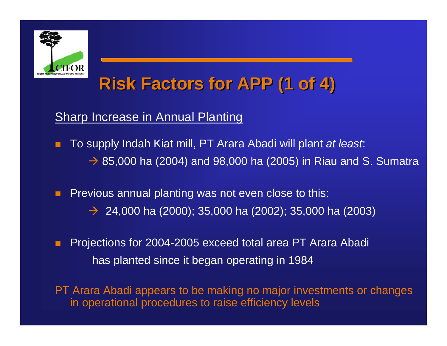

## **Risk Factors for APP (1 of 4) Risk Factors for APP (1 of 4)**

#### Sharp Increase in Annual Planting

- п To supply Indah Kiat mill, PT Arara Abadi will plant *at least*:  $\rightarrow$  85,000 ha (2004) and 98,000 ha (2005) in Riau and S. Sumatra
- п Previous annual planting was not even close to this:  $\rightarrow$  24,000 ha (2000); 35,000 ha (2002); 35,000 ha (2003)
- п Projections for 2004-2005 exceed total area PT Arara Abadi has planted since it began operating in 1984
- PT Arara Abadi appears to be making no major investments or changes in operational procedures to raise efficiency levels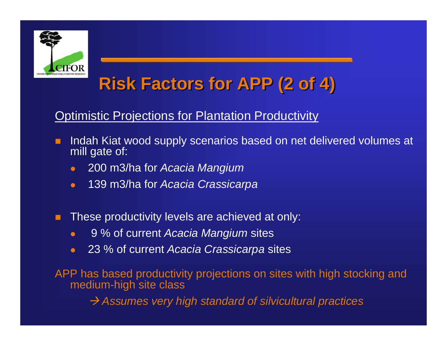

## **Risk Factors for APP (2 of 4) Risk Factors for APP (2 of 4)**

**Optimistic Projections for Plantation Productivity** 

- п Indah Kiat wood supply scenarios based on net delivered volumes at mill gate of:
	- $\bullet$ 200 m3/ha for *Acacia Mangium*
	- $\bullet$ 139 m3/ha for *Acacia Crassicarpa*
- п These productivity levels are achieved at only:
	- $\bullet$ 9 % of current *Acacia Mangium* sites
	- $\bullet$ 23 % of current *Acacia Crassicarpa* sites

APP has based productivity projections on sites with high stocking and medium-high site class

Æ *Assumes very high standard of silvicultural practices*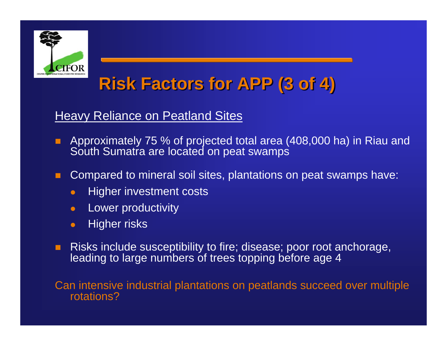

## **Risk Factors for APP (3 of 4) Risk Factors for APP (3 of 4)**

#### Heavy Reliance on Peatland Sites

- п Approximately 75 % of projected total area (408,000 ha) in Riau and South Sumatra are located on peat swamps
- п Compared to mineral soil sites, plantations on peat swamps have:
	- $\bullet$ Higher investment costs
	- $\bullet$ Lower productivity
	- $\bullet$ Higher risks
- $\blacksquare$  Risks include susceptibility to fire; disease; poor root anchorage, leading to large numbers of trees topping before age 4

Can intensive industrial plantations on peatlands succeed over multiple rotations?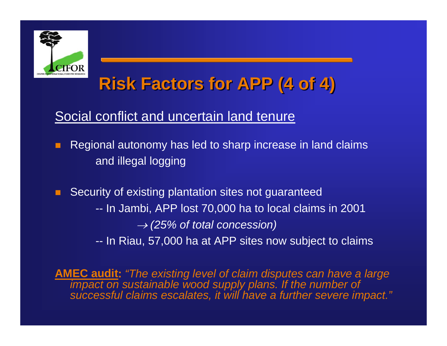

## **Risk Factors for APP (4 of 4) Risk Factors for APP (4 of 4)**

#### Social conflict and uncertain land tenure

- п Regional autonomy has led to sharp increase in land claims and illegal logging
- п Security of existing plantation sites not guaranteed -- In Jambi, APP lost 70,000 ha to local claims in 2001 → *(25% of total concession)* -- In Riau, 57,000 ha at APP sites now subject to claims

**AMEC audit:** *"The existing level of claim disputes can have a large impact on sustainable wood supply plans. If the number of successful claims escalates, it will have a further severe impact."*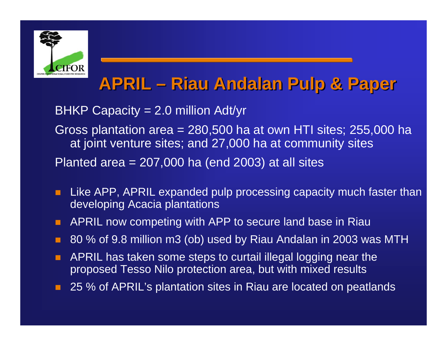

## **APRIL – Riau Andalan Pulp & Paper APRIL – Riau Andalan Pulp & Paper**

BHKP Capacity = 2.0 million Adt/yr

Gross plantation area = 280,500 ha at own HTI sites; 255,000 ha at joint venture sites; and 27,000 ha at community sites Planted area  $= 207,000$  ha (end 2003) at all sites

- п Like APP, APRIL expanded pulp processing capacity much faster than developing Acacia plantations
- $\blacksquare$ APRIL now competing with APP to secure land base in Riau
- P. 80 % of 9.8 million m3 (ob) used by Riau Andalan in 2003 was MTH
- п APRIL has taken some steps to curtail illegal logging near the proposed Tesso Nilo protection area, but with mixed results
- п 25 % of APRIL's plantation sites in Riau are located on peatlands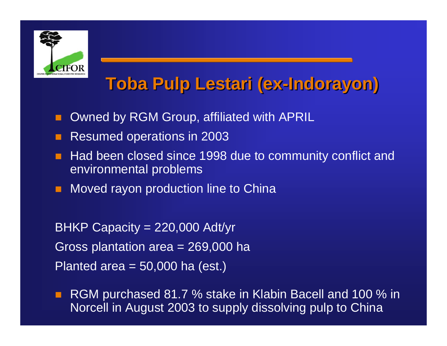

# **Toba Pulp Lestari (ex-Indorayon) Toba Pulp Lestari (ex-Indorayon)**

- $\mathcal{L}_{\mathcal{A}}$ Owned by RGM Group, affiliated with APRIL
- Resumed operations in 2003
- Had been closed since 1998 due to community conflict and environmental problems
- $\mathcal{L}_{\mathcal{A}}$ Moved rayon production line to China

BHKP Capacity = 220,000 Adt/yr Gross plantation area = 269,000 ha Planted area  $=$  50,000 ha (est.)

 $\mathcal{L}_{\mathcal{A}}$  RGM purchased 81.7 % stake in Klabin Bacell and 100 % in Norcell in August 2003 to supply dissolving pulp to China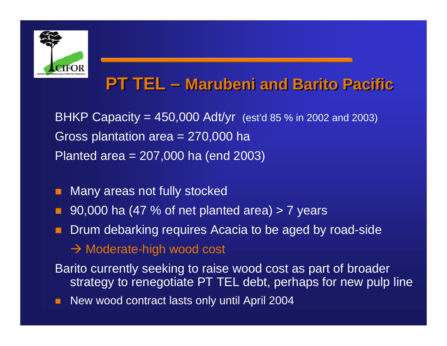

### **PT TEL – PT TEL – Marubeni and Barito Pacific Marubeni and Barito Pacific**

**BHKP Capacity = 450,000 Adt/yr** (est'd 85 % in 2002 and 2003) Gross plantation area = 270,000 ha Planted area = 207,000 ha (end 2003)

- Many areas not fully stocked
- 90,000 ha (47 % of net planted area) > 7 years
- Drum debarking requires Acacia to be aged by road-side
	- $\rightarrow$  Moderate-high wood cost
- Barito currently seeking to raise wood cost as part of broader strategy to renegotiate PT TEL debt, perhaps for new pulp line
- п New wood contract lasts only until April 2004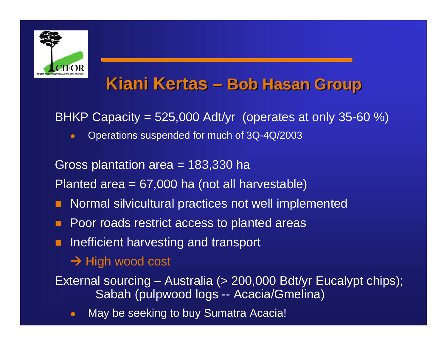

### **Kiani Kertas – Kiani Kertas – Bob Hasan Group Bob Hasan Group**

BHKP Capacity = 525,000 Adt/yr (operates at only 35-60 %)

 $\bullet$ Operations suspended for much of 3Q-4Q/2003

Gross plantation area = 183,330 ha

Planted area = 67,000 ha (not all harvestable)

- F. Normal silvicultural practices not well implemented
- Poor roads restrict access to planted areas
- **n** Inefficient harvesting and transport

#### $\rightarrow$  High wood cost

External sourcing – Australia (> 200,000 Bdt/yr Eucalypt chips); Sabah (pulpwood logs -- Acacia/Gmelina)

 $\bullet$ May be seeking to buy Sumatra Acacia!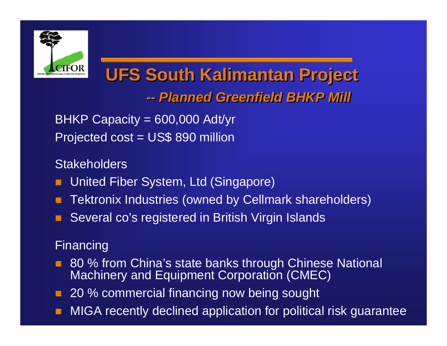

#### **UFS South Kalimantan Project UFS South Kalimantan Project**  *-- Planned Greenfield BHKP Mill -- Planned Greenfield BHKP Mill*

BHKP Capacity = 600,000 Adt/yr Projected cost = US\$ 890 million

#### Stakeholders

- $\mathcal{L}_{\mathcal{A}}$ United Fiber System, Ltd (Singapore)
- Tektronix Industries (owned by Cellmark shareholders)
- Several co's registered in British Virgin Islands

#### Financing

- 80 % from China's state banks through Chinese National Machinery and Equipment Corporation (CMEC)
- 20 % commercial financing now being sought
- MIGA recently declined application for political risk guarantee